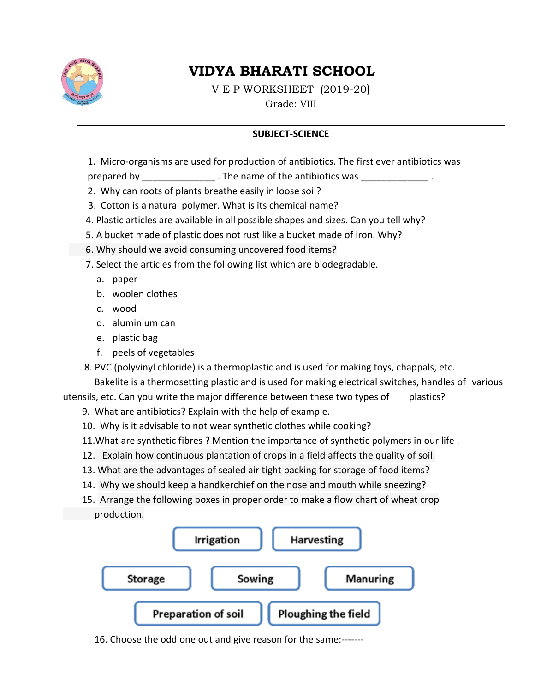

# **VIDYA BHARATI SCHOOL**

V E P WORKSHEET  $(2019-20)$ Grade: VIII

#### **SUBJECT-SCIENCE**

1. Micro-organisms are used for production of antibiotics. The first ever antibiotics was

prepared by The name of the antibiotics was

- 2. Why can roots of plants breathe easily in loose soil?
- 3. Cotton is a natural polymer. What is its chemical name?
- 4. Plastic articles are available in all possible shapes and sizes. Can you tell why?
- 5. A bucket made of plastic does not rust like a bucket made of iron. Why?
- 6. Why should we avoid consuming uncovered food items?
- 7. Select the articles from the following list which are biodegradable.
	- a. paper
	- b. woolen clothes
	- c. wood
	- d. aluminium can
	- e. plastic bag
	- f. peels of vegetables
- 8. PVC (polyvinyl chloride) is a thermoplastic and is used for making toys, chappals, etc.

Bakelite is a thermosetting plastic and is used for making electrical switches, handles of various

utensils, etc. Can you write the major difference between these two types of plastics?

- 9. What are antibiotics? Explain with the help of example.
- 10. Why is it advisable to not wear synthetic clothes while cooking?
- 11. What are synthetic fibres ? Mention the importance of synthetic polymers in our life.
- 12. Explain how continuous plantation of crops in a field affects the quality of soil.
- 13. What are the advantages of sealed air tight packing for storage of food items?
- 14. Why we should keep a handkerchief on the nose and mouth while sneezing?
- 15. Arrange the following boxes in proper order to make a flow chart of wheat crop production.



16. Choose the odd one out and give reason for the same:-------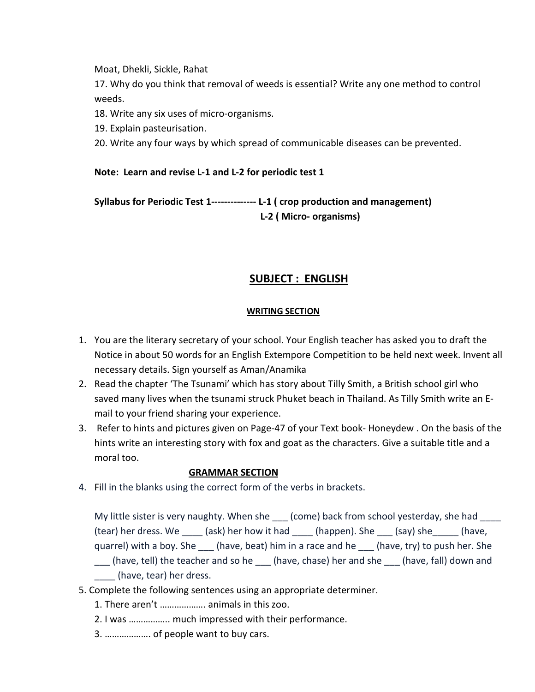Moat, Dhekli, Sickle, Rahat

17. Why do you think that removal of weeds is essential? Write any one method to control weeds.

18. Write any six uses of micro-organisms.

19. Explain pasteurisation.

20. Write any four ways by which spread of communicable diseases can be prevented.

#### Note: Learn and revise L-1 and L-2 for periodic test 1

Syllabus for Periodic Test 1-------------- L-1 (crop production and management) L-2 (Micro- organisms)

### **SUBJECT: ENGLISH**

#### **WRITING SECTION**

- 1. You are the literary secretary of your school. Your English teacher has asked you to draft the Notice in about 50 words for an English Extempore Competition to be held next week. Invent all necessary details. Sign yourself as Aman/Anamika
- 2. Read the chapter 'The Tsunami' which has story about Tilly Smith, a British school girl who saved many lives when the tsunami struck Phuket beach in Thailand. As Tilly Smith write an Email to your friend sharing your experience.
- 3. Refer to hints and pictures given on Page-47 of your Text book-Honeydew. On the basis of the hints write an interesting story with fox and goat as the characters. Give a suitable title and a moral too.

#### **GRAMMAR SECTION**

4. Fill in the blanks using the correct form of the verbs in brackets.

My little sister is very naughty. When she (come) back from school yesterday, she had (tear) her dress. We \_\_\_\_\_(ask) her how it had \_\_\_\_\_(happen). She \_\_\_\_(say) she \_\_\_\_\_(have, quarrel) with a boy. She \_\_\_ (have, beat) him in a race and he \_\_\_ (have, try) to push her. She

- \_\_\_ (have, tell) the teacher and so he \_\_\_ (have, chase) her and she \_\_\_ (have, fall) down and (have, tear) her dress.
- 5. Complete the following sentences using an appropriate determiner.
	- 1. There aren't .................. animals in this zoo.
	- 2. I was ................. much impressed with their performance.
	- 3. ................... of people want to buy cars.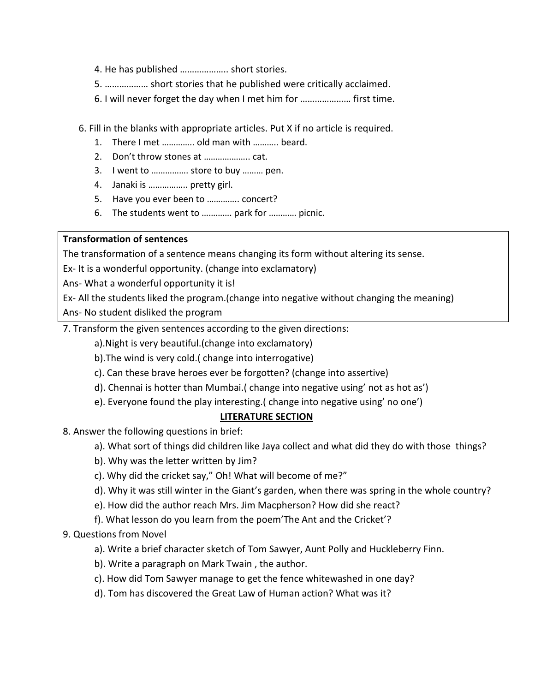- 4. He has published .................... short stories.
- 5. .................. short stories that he published were critically acclaimed.
- 6. I will never forget the day when I met him for ..................... first time.
- 6. Fill in the blanks with appropriate articles. Put X if no article is required.
	- 1. There I met .............. old man with ........... beard.
	-
	- 3. I went to ................ store to buy ......... pen.
	- 4. Janaki is ................. pretty girl.
	- 5. Have you ever been to .............. concert?
	- 6. The students went to ............. park for ............ picnic.

#### **Transformation of sentences**

The transformation of a sentence means changing its form without altering its sense.

Ex- It is a wonderful opportunity. (change into exclamatory)

Ans- What a wonderful opportunity it is!

Ex- All the students liked the program.(change into negative without changing the meaning)

Ans- No student disliked the program

7. Transform the given sentences according to the given directions:

a). Night is very beautiful. (change into exclamatory)

- b). The wind is very cold. (change into interrogative)
- c). Can these brave heroes ever be forgotten? (change into assertive)
- d). Chennai is hotter than Mumbai. (change into negative using' not as hot as')
- e). Everyone found the play interesting. (change into negative using' no one')

#### **LITERATURE SECTION**

- 8. Answer the following questions in brief:
	- a). What sort of things did children like Jaya collect and what did they do with those things?
	- b). Why was the letter written by Jim?
	- c). Why did the cricket say," Oh! What will become of me?"
	- d). Why it was still winter in the Giant's garden, when there was spring in the whole country?
	- e). How did the author reach Mrs. Jim Macpherson? How did she react?
	- f). What lesson do you learn from the poem'The Ant and the Cricket'?

#### 9. Questions from Novel

- a). Write a brief character sketch of Tom Sawyer, Aunt Polly and Huckleberry Finn.
- b). Write a paragraph on Mark Twain, the author.
- c). How did Tom Sawyer manage to get the fence whitewashed in one day?
- d). Tom has discovered the Great Law of Human action? What was it?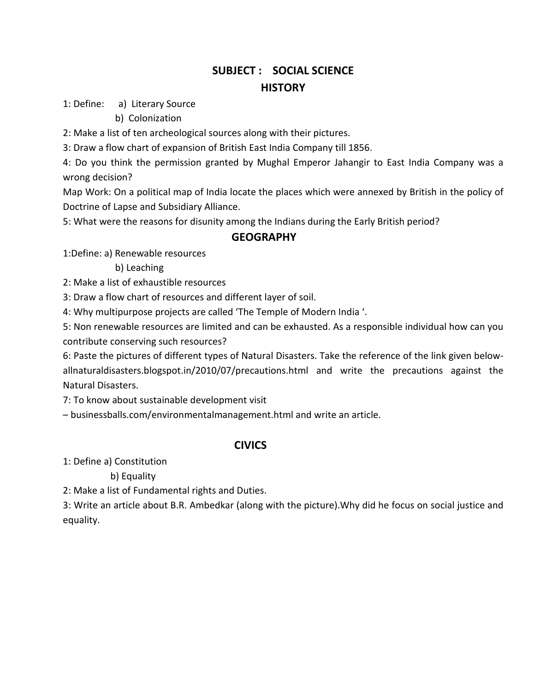# **SUBJECT : SOCIAL SCIENCE HISTORY**

1: Define: a) Literary Source

b) Colonization

2: Make a list of ten archeological sources along with their pictures.

3: Draw a flow chart of expansion of British East India Company till 1856.

4: Do you think the permission granted by Mughal Emperor Jahangir to East India Company was a wrong decision?

Map Work: On a political map of India locate the places which were annexed by British in the policy of Doctrine of Lapse and Subsidiary Alliance.

5: What were the reasons for disunity among the Indians during the Early British period?

#### **GEOGRAPHY**

1:Define: a) Renewable resources

b) Leaching

2: Make a list of exhaustible resources

3: Draw a flow chart of resources and different layer of soil.

4: Why multipurpose projects are called 'The Temple of Modern India '.

5: Non renewable resources are limited and can be exhausted. As a responsible individual how can you contribute conserving such resources?

6: Paste the pictures of different types of Natural Disasters. Take the reference of the link given belowallnaturaldisasters.blogspot.in/2010/07/precautions.html and write the precautions against the **Natural Disasters.** 

7: To know about sustainable development visit

- businessballs.com/environmentalmanagement.html and write an article.

#### **CIVICS**

1: Define a) Constitution

b) Equality

2: Make a list of Fundamental rights and Duties.

3: Write an article about B.R. Ambedkar (along with the picture). Why did he focus on social justice and equality.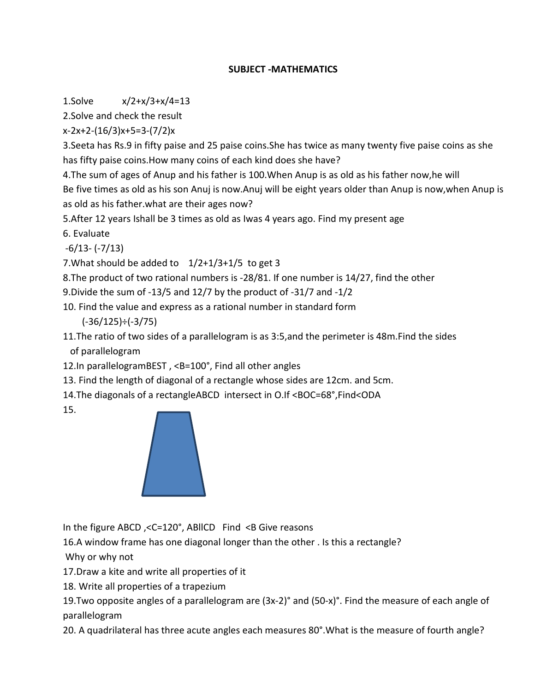#### **SUBJECT - MATHEMATICS**

1.Solve  $x/2+x/3+x/4=13$ 

2. Solve and check the result

 $x-2x+2-(16/3)x+5=3-(7/2)x$ 

3. Seeta has Rs.9 in fifty paise and 25 paise coins. She has twice as many twenty five paise coins as she has fifty paise coins. How many coins of each kind does she have?

4. The sum of ages of Anup and his father is 100. When Anup is as old as his father now, he will Be five times as old as his son Anuj is now. Anuj will be eight years older than Anup is now, when Anup is as old as his father what are their ages now?

5. After 12 years Ishall be 3 times as old as Iwas 4 years ago. Find my present age

6. Evaluate

 $-6/13 - (-7/13)$ 

7. What should be added to  $1/2+1/3+1/5$  to get 3

8. The product of two rational numbers is -28/81. If one number is 14/27, find the other

9. Divide the sum of -13/5 and 12/7 by the product of -31/7 and -1/2

10. Find the value and express as a rational number in standard form

 $(-36/125) \div (-3/75)$ 

11. The ratio of two sides of a parallelogram is as 3:5, and the perimeter is 48m. Find the sides of parallelogram

12. In parallelogramBEST, <B=100°, Find all other angles

13. Find the length of diagonal of a rectangle whose sides are 12cm. and 5cm.

14. The diagonals of a rectangle ABCD intersect in O.If <BOC=68°, Find<ODA

15.



In the figure ABCD,  $\leq$ C=120°, ABIICD Find  $\leq$ B Give reasons

16.A window frame has one diagonal longer than the other . Is this a rectangle?

Why or why not

17. Draw a kite and write all properties of it

18. Write all properties of a trapezium

19. Two opposite angles of a parallelogram are (3x-2)° and (50-x)°. Find the measure of each angle of parallelogram

20. A quadrilateral has three acute angles each measures 80°. What is the measure of fourth angle?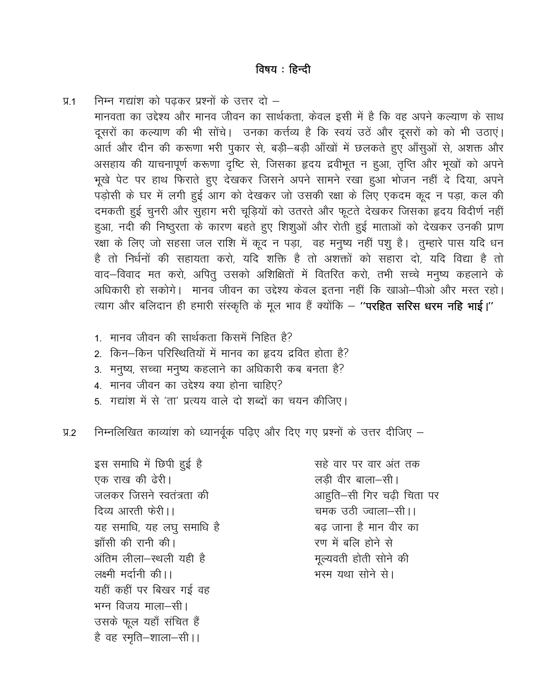निम्न गद्यांश को पढकर प्रश्नों के उत्तर दो –  $\Psi$ .1 मानवता का उद्देश्य और मानव जीवन का सार्थकता, केवल इसी में है कि वह अपने कल्याण के साथ दूसरों का कल्याण की भी सोंचे। उनका कर्त्तव्य है कि स्वयं उठें और दूसरों को को भी उठाएं। आर्त और दीन की करूणा भरी पुकार से, बड़ी–बड़ी आँखों में छलकते हुए आँसुओं से, अशक्त और असहाय की याचनापूर्ण करूणा दृष्टि से, जिसका हृदय द्रवीभूत न हुआ, तृप्ति और भूखों को अपने भूखे पेट पर हाथ फिराते हुए देखकर जिसने अपने सामने रखा हुआ भोजन नहीं दे दिया, अपने पड़ोसी के घर में लगी हुई आग को देखकर जो उसकी रक्षा के लिए एकदम कूद न पड़ा, कल की दमकती हुई चुनरी और सुहाग भरी चूड़ियों को उतरते और फूटते देखकर जिसका हृदय विदीर्ण नहीं हुआ, नदी की निष्ठुरता के कारण बहते हुए शिशुओं और रोती हुई माताओं को देखकर उनकी प्राण रक्षा के लिए जो सहसा जल राशि में कूद न पड़ा, वह मनुष्य नहीं पशु है। तुम्हारे पास यदि धन है तो निर्धनों की सहायता करो, यदि शक्ति है तो अशक्तों को सहारा दो, यदि विद्या है तो वाद–विवाद मत करो, अपित् उसको अशिक्षितों में वितरित करो, तभी सच्चे मनुष्य कहलाने के अधिकारी हो सकोगे। मानव जीवन का उद्देश्य केवल इतना नहीं कि खाओ–पीओ और मस्त रहो। त्याग और बलिदान ही हमारी संस्कृति के मूल भाव हैं क्योंकि – "**परहित सरिस धरम नहि भाई।**"

- 1. मानव जीवन की सार्थकता किसमें निहित है?
- 2. किन-किन परिस्थितियों में मानव का हृदय द्रवित होता है?
- 3. मनुष्य, सच्चा मनुष्य कहलाने का अधिकारी कब बनता है?
- 4. मानव जीवन का उद्देश्य क्या होना चाहिए?
- 5. गद्यांश में से 'ता' प्रत्यय वाले दो शब्दों का चयन कीजिए।

निम्नलिखित काव्यांश को ध्यानर्वक पढिए और दिए गए प्रश्नों के उत्तर दीजिए –  $9.2$ 

इस समाधि में छिपी हुई है एक राख की ढेरी। जलकर जिसने स्वतंत्रता की दिव्य आरती फेरी।। यह समाधि, यह लघु समाधि है झाँसी की रानी की। अंतिम लीला—स्थली यही है लक्ष्मी मर्दानी की।। यहीं कहीं पर बिखर गई वह भग्न विजय माला-सी। उसके फूल यहाँ संचित हैं है वह स्मृति-शाला-सी।।

सहे वार पर वार अंत तक लडी वीर बाला-सी। आहुति-सी गिर चढी चिता पर चमक उठी ज्वाला–सी।। बढ़ जाना है मान वीर का रण में बलि होने से मूल्यवती होती सोने की भस्म यथा सोने से।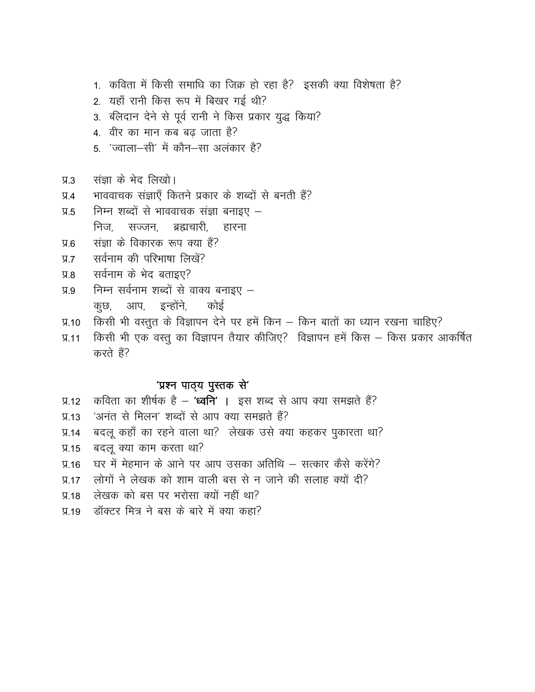- 1. कविता में किसी समाधि का जिक्र हो रहा है? इसकी क्या विशेषता है?
- 2. यहाँ रानी किस रूप में बिखर गई थी?
- 3. बलिदान देने से पूर्व रानी ने किस प्रकार युद्ध किया?
- 4. वीर का मान कब बढ जाता है?
- 5. 'ज्वाला-सी' में कौन-सा अलंकार है?
- संज्ञा के भेद लिखो।  $\Pi$  3
- भाववाचक संज्ञाएँ कितने प्रकार के शब्दों से बनती हैं?  $\overline{A}$
- निम्न शब्दों से भाववाचक संज्ञा बनाइए  $9.5$ निज, सज्जन, ब्रह्मचारी, हारना
- संज्ञा के विकारक रूप क्या हैं?  $9.6$
- सर्वनाम की परिभाषा लिखें?  $V = V$
- सर्वनाम के भेद बताइए?  $9.8$
- निम्न सर्वनाम शब्दों से वाक्य बनाइए  $\Psi$ .9 कुछ, आप, इन्होंने, कोई
- प्र.10 किसी भी वस्तुत के विज्ञापन देने पर हमें किन किन बातों का ध्यान रखना चाहिए?
- किसी भी एक वस्तू का विज्ञापन तैयार कीजिए? विज्ञापन हमें किस किस प्रकार आकर्षित  $\Psi$ .11 करते हैं?

#### 'प्रश्न पाठ्य पुस्तक से'

- कविता का शीर्षक है 'ध्व**नि'** । इस शब्द से आप क्या समझते हैं?  $\Psi$ .12
- 'अनंत से मिलन' शब्दों से आप क्या समझते हैं?  $\Pi$ .13
- बदलू कहाँ का रहने वाला था? लेखक उसे क्या कहकर पुकारता था?  $\Psi$ .14
- बदल क्या काम करता था?  $\Psi$ .15
- घर में मेहमान के आने पर आप उसका अतिथि सत्कार कैसे करेंगे?  $\Psi$ .16
- प्र.17 लोगों ने लेखक को शाम वाली बस से न जाने की सलाह क्यों दी?
- लेखक को बस पर भरोसा क्यों नहीं था?  $\Psi$ .18
- डॉक्टर मित्र ने बस के बारे में क्या कहा?  $\Pi$ .19